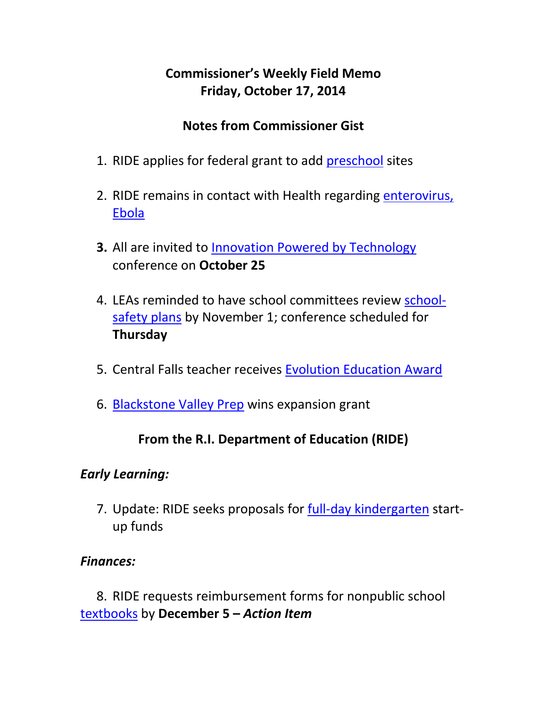# **Commissioner's Weekly Field Memo Friday, October 17, 2014**

### **Notes from Commissioner Gist**

- 1. RIDE applies for federal grant to add preschool sites
- 2. RIDE remains in contact with Health regarding enterovirus, Ebola
- **3.** All are invited to Innovation Powered by Technology conference on **October 25**
- 4. LEAs reminded to have school committees review school‐ safety plans by November 1; conference scheduled for **Thursday**
- 5. Central Falls teacher receives Evolution Education Award
- 6. Blackstone Valley Prep wins expansion grant

#### **From the R.I. Department of Education (RIDE)**

#### *Early Learning:*

7. Update: RIDE seeks proposals for full-day kindergarten startup funds

#### *Finances:*

8. RIDE requests reimbursement forms for nonpublic school textbooks by **December 5 –** *Action Item*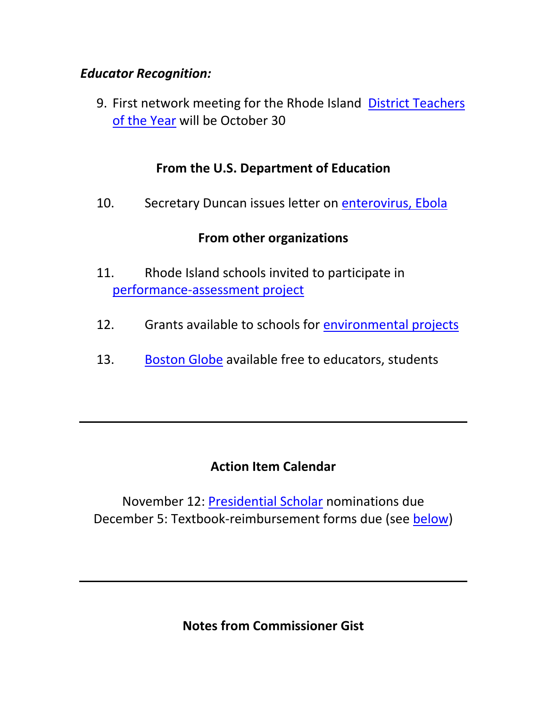#### *Educator Recognition:*

9. First network meeting for the Rhode Island District Teachers of the Year will be October 30

### **From the U.S. Department of Education**

10. Secretary Duncan issues letter on enterovirus, Ebola

### **From other organizations**

- 11. Rhode Island schools invited to participate in performance‐assessment project
- 12. Grants available to schools for environmental projects
- 13. Boston Globe available free to educators, students

## **Action Item Calendar**

November 12: Presidential Scholar nominations due December 5: Textbook‐reimbursement forms due (see below)

**Notes from Commissioner Gist**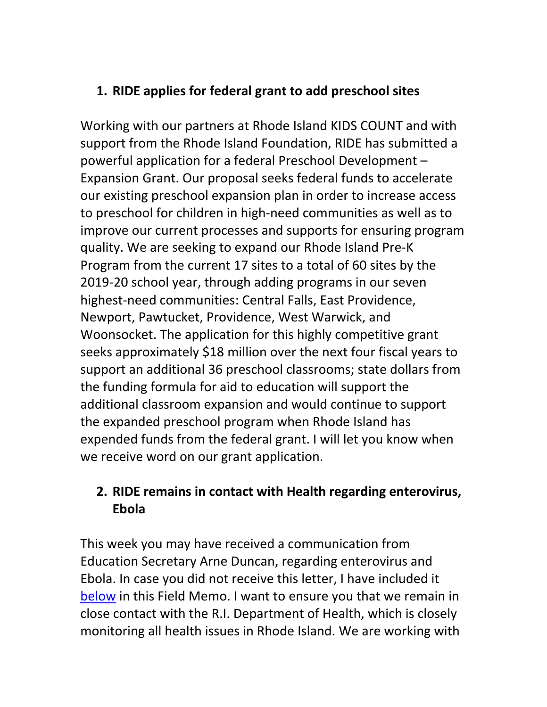## **1. RIDE applies for federal grant to add preschool sites**

Working with our partners at Rhode Island KIDS COUNT and with support from the Rhode Island Foundation, RIDE has submitted a powerful application for a federal Preschool Development – Expansion Grant. Our proposal seeks federal funds to accelerate our existing preschool expansion plan in order to increase access to preschool for children in high‐need communities as well as to improve our current processes and supports for ensuring program quality. We are seeking to expand our Rhode Island Pre‐K Program from the current 17 sites to a total of 60 sites by the 2019‐20 school year, through adding programs in our seven highest-need communities: Central Falls, East Providence, Newport, Pawtucket, Providence, West Warwick, and Woonsocket. The application for this highly competitive grant seeks approximately \$18 million over the next four fiscal years to support an additional 36 preschool classrooms; state dollars from the funding formula for aid to education will support the additional classroom expansion and would continue to support the expanded preschool program when Rhode Island has expended funds from the federal grant. I will let you know when we receive word on our grant application.

## **2. RIDE remains in contact with Health regarding enterovirus, Ebola**

This week you may have received a communication from Education Secretary Arne Duncan, regarding enterovirus and Ebola. In case you did not receive this letter, I have included it below in this Field Memo. I want to ensure you that we remain in close contact with the R.I. Department of Health, which is closely monitoring all health issues in Rhode Island. We are working with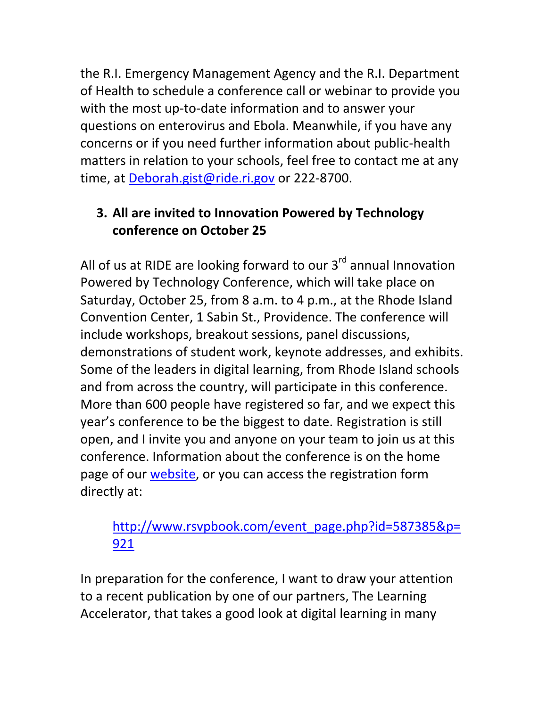the R.I. Emergency Management Agency and the R.I. Department of Health to schedule a conference call or webinar to provide you with the most up-to-date information and to answer your questions on enterovirus and Ebola. Meanwhile, if you have any concerns or if you need further information about public‐health matters in relation to your schools, feel free to contact me at any time, at Deborah.gist@ride.ri.gov or 222-8700.

# **3. All are invited to Innovation Powered by Technology conference on October 25**

All of us at RIDE are looking forward to our  $3<sup>rd</sup>$  annual Innovation Powered by Technology Conference, which will take place on Saturday, October 25, from 8 a.m. to 4 p.m., at the Rhode Island Convention Center, 1 Sabin St., Providence. The conference will include workshops, breakout sessions, panel discussions, demonstrations of student work, keynote addresses, and exhibits. Some of the leaders in digital learning, from Rhode Island schools and from across the country, will participate in this conference. More than 600 people have registered so far, and we expect this year's conference to be the biggest to date. Registration is still open, and I invite you and anyone on your team to join us at this conference. Information about the conference is on the home page of our website, or you can access the registration form directly at:

## http://www.rsvpbook.com/event\_page.php?id=587385&p= 921

In preparation for the conference, I want to draw your attention to a recent publication by one of our partners, The Learning Accelerator, that takes a good look at digital learning in many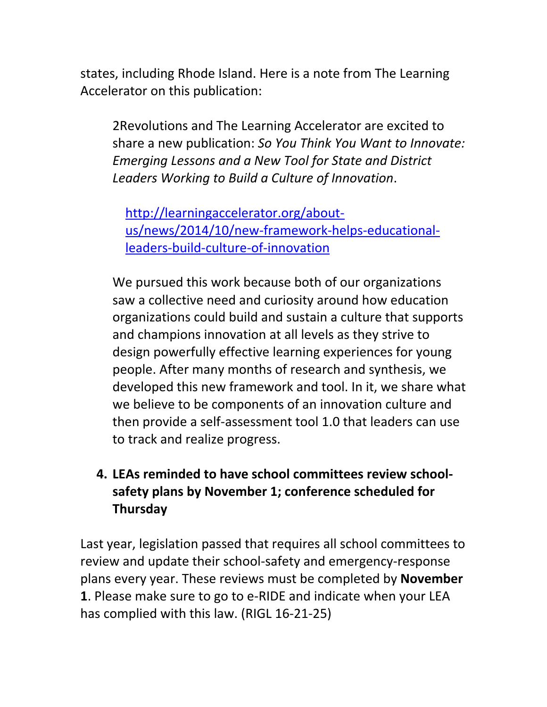states, including Rhode Island. Here is a note from The Learning Accelerator on this publication:

2Revolutions and The Learning Accelerator are excited to share a new publication: *So You Think You Want to Innovate: Emerging Lessons and a New Tool for State and District Leaders Working to Build a Culture of Innovation*.

http://learningaccelerator.org/about‐ us/news/2014/10/new‐framework‐helps‐educational‐ leaders‐build‐culture‐of‐innovation

We pursued this work because both of our organizations saw a collective need and curiosity around how education organizations could build and sustain a culture that supports and champions innovation at all levels as they strive to design powerfully effective learning experiences for young people. After many months of research and synthesis, we developed this new framework and tool. In it, we share what we believe to be components of an innovation culture and then provide a self‐assessment tool 1.0 that leaders can use to track and realize progress.

## **4. LEAs reminded to have school committees review school‐ safety plans by November 1; conference scheduled for Thursday**

Last year, legislation passed that requires all school committees to review and update their school‐safety and emergency‐response plans every year. These reviews must be completed by **November 1**. Please make sure to go to e‐RIDE and indicate when your LEA has complied with this law. (RIGL 16‐21‐25)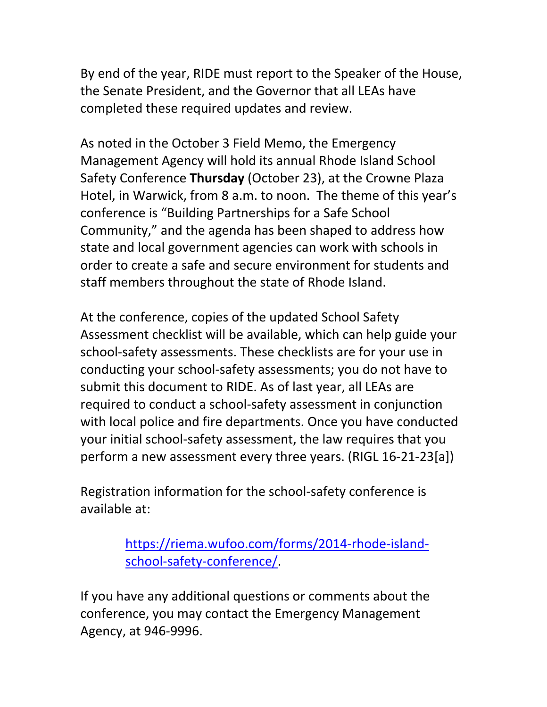By end of the year, RIDE must report to the Speaker of the House, the Senate President, and the Governor that all LEAs have completed these required updates and review.

As noted in the October 3 Field Memo, the Emergency Management Agency will hold its annual Rhode Island School Safety Conference **Thursday** (October 23), at the Crowne Plaza Hotel, in Warwick, from 8 a.m. to noon. The theme of this year's conference is "Building Partnerships for a Safe School Community," and the agenda has been shaped to address how state and local government agencies can work with schools in order to create a safe and secure environment for students and staff members throughout the state of Rhode Island.

At the conference, copies of the updated School Safety Assessment checklist will be available, which can help guide your school-safety assessments. These checklists are for your use in conducting your school‐safety assessments; you do not have to submit this document to RIDE. As of last year, all LEAs are required to conduct a school‐safety assessment in conjunction with local police and fire departments. Once you have conducted your initial school‐safety assessment, the law requires that you perform a new assessment every three years. (RIGL 16‐21‐23[a])

Registration information for the school‐safety conference is available at:

> https://riema.wufoo.com/forms/2014‐rhode‐island‐ school‐safety‐conference/.

If you have any additional questions or comments about the conference, you may contact the Emergency Management Agency, at 946‐9996.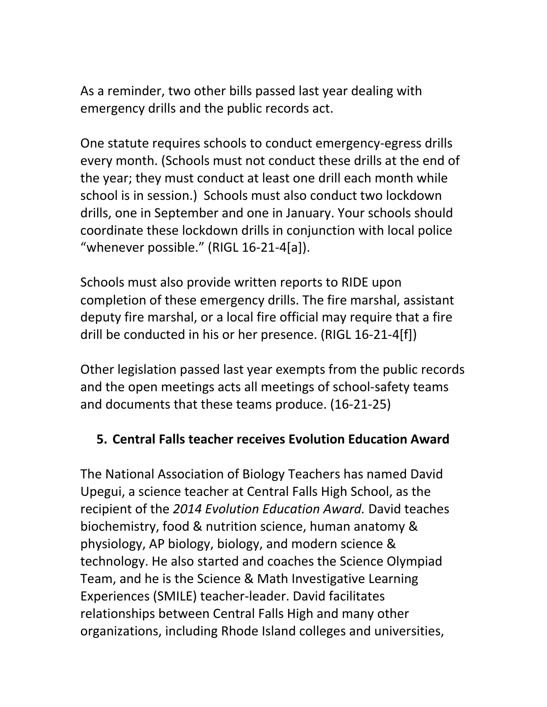As a reminder, two other bills passed last year dealing with emergency drills and the public records act.

One statute requires schools to conduct emergency‐egress drills every month. (Schools must not conduct these drills at the end of the year; they must conduct at least one drill each month while school is in session.) Schools must also conduct two lockdown drills, one in September and one in January. Your schools should coordinate these lockdown drills in conjunction with local police "whenever possible." (RIGL 16‐21‐4[a]).

Schools must also provide written reports to RIDE upon completion of these emergency drills. The fire marshal, assistant deputy fire marshal, or a local fire official may require that a fire drill be conducted in his or her presence. (RIGL 16‐21‐4[f])

Other legislation passed last year exempts from the public records and the open meetings acts all meetings of school‐safety teams and documents that these teams produce. (16‐21‐25)

#### **5. Central Falls teacher receives Evolution Education Award**

The National Association of Biology Teachers has named David Upegui, a science teacher at Central Falls High School, as the recipient of the *2014 Evolution Education Award.* David teaches biochemistry, food & nutrition science, human anatomy & physiology, AP biology, biology, and modern science & technology. He also started and coaches the Science Olympiad Team, and he is the Science & Math Investigative Learning Experiences (SMILE) teacher‐leader. David facilitates relationships between Central Falls High and many other organizations, including Rhode Island colleges and universities,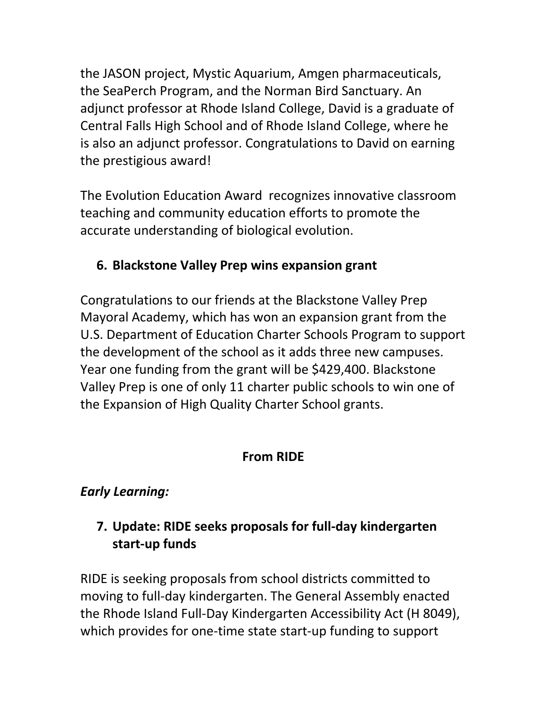the JASON project, Mystic Aquarium, Amgen pharmaceuticals, the SeaPerch Program, and the Norman Bird Sanctuary. An adjunct professor at Rhode Island College, David is a graduate of Central Falls High School and of Rhode Island College, where he is also an adjunct professor. Congratulations to David on earning the prestigious award!

The Evolution Education Award recognizes innovative classroom teaching and community education efforts to promote the accurate understanding of biological evolution.

# **6. Blackstone Valley Prep wins expansion grant**

Congratulations to our friends at the Blackstone Valley Prep Mayoral Academy, which has won an expansion grant from the U.S. Department of Education Charter Schools Program to support the development of the school as it adds three new campuses. Year one funding from the grant will be \$429,400. Blackstone Valley Prep is one of only 11 charter public schools to win one of the Expansion of High Quality Charter School grants.

## **From RIDE**

# *Early Learning:*

# **7. Update: RIDE seeks proposals for full‐day kindergarten start‐up funds**

RIDE is seeking proposals from school districts committed to moving to full‐day kindergarten. The General Assembly enacted the Rhode Island Full‐Day Kindergarten Accessibility Act (H 8049), which provides for one-time state start-up funding to support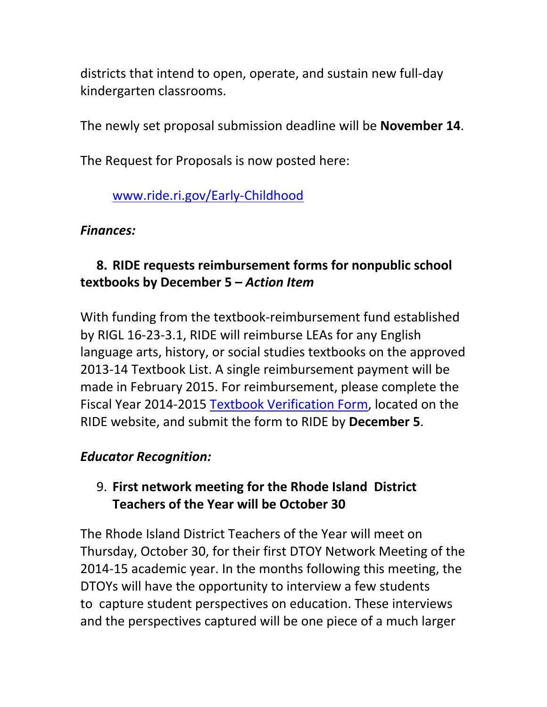districts that intend to open, operate, and sustain new full‐day kindergarten classrooms.

The newly set proposal submission deadline will be **November 14**.

The Request for Proposals is now posted here:

## www.ride.ri.gov/Early‐Childhood

### *Finances:*

# **8. RIDE requests reimbursement forms for nonpublic school textbooks by December 5 –** *Action Item*

With funding from the textbook‐reimbursement fund established by RIGL 16‐23‐3.1, RIDE will reimburse LEAs for any English language arts, history, or social studies textbooks on the approved 2013‐14 Textbook List. A single reimbursement payment will be made in February 2015. For reimbursement, please complete the Fiscal Year 2014‐2015 Textbook Verification Form, located on the RIDE website, and submit the form to RIDE by **December 5**.

#### *Educator Recognition:*

## 9. **First network meeting for the Rhode Island District Teachers of the Year will be October 30**

The Rhode Island District Teachers of the Year will meet on Thursday, October 30, for their first DTOY Network Meeting of the 2014‐15 academic year. In the months following this meeting, the DTOYs will have the opportunity to interview a few students to capture student perspectives on education. These interviews and the perspectives captured will be one piece of a much larger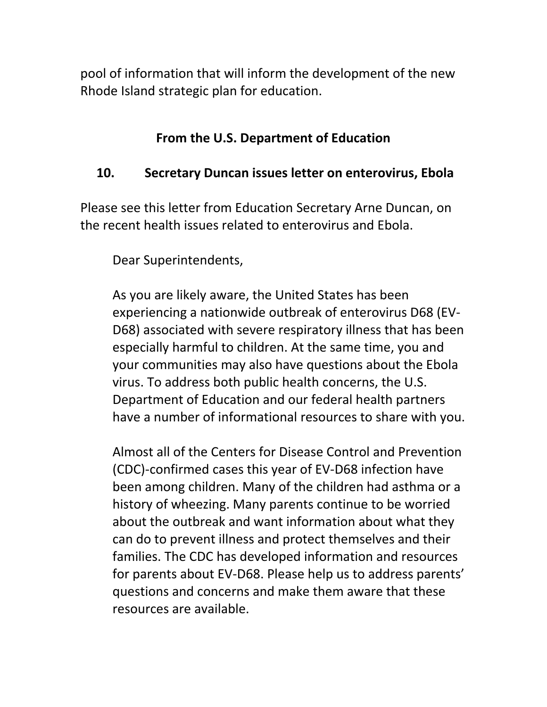pool of information that will inform the development of the new Rhode Island strategic plan for education.

### **From the U.S. Department of Education**

## **10. Secretary Duncan issues letter on enterovirus, Ebola**

Please see this letter from Education Secretary Arne Duncan, on the recent health issues related to enterovirus and Ebola.

Dear Superintendents,

As you are likely aware, the United States has been experiencing a nationwide outbreak of enterovirus D68 (EV‐ D68) associated with severe respiratory illness that has been especially harmful to children. At the same time, you and your communities may also have questions about the Ebola virus. To address both public health concerns, the U.S. Department of Education and our federal health partners have a number of informational resources to share with you.

Almost all of the Centers for Disease Control and Prevention (CDC)‐confirmed cases this year of EV‐D68 infection have been among children. Many of the children had asthma or a history of wheezing. Many parents continue to be worried about the outbreak and want information about what they can do to prevent illness and protect themselves and their families. The CDC has developed information and resources for parents about EV‐D68. Please help us to address parents' questions and concerns and make them aware that these resources are available.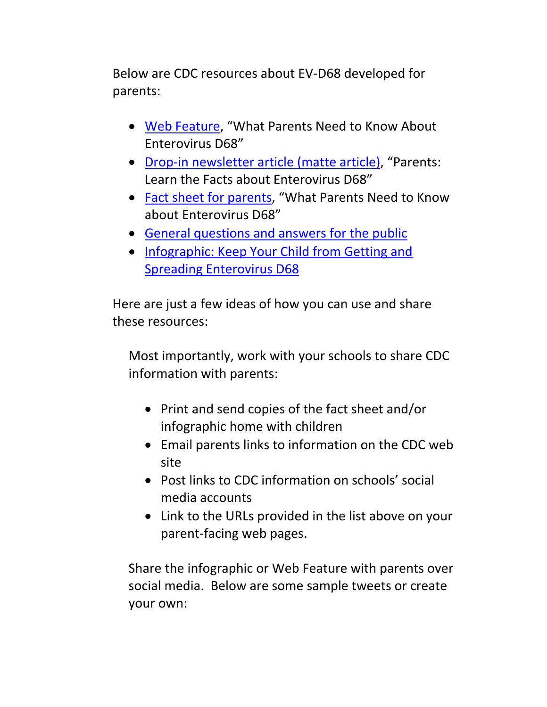Below are CDC resources about EV‐D68 developed for parents:

- Web Feature, "What Parents Need to Know About Enterovirus D68"
- Drop-in newsletter article (matte article), "Parents: Learn the Facts about Enterovirus D68"
- Fact sheet for parents, "What Parents Need to Know about Enterovirus D68"
- General questions and answers for the public
- Infographic: Keep Your Child from Getting and Spreading Enterovirus D68

Here are just a few ideas of how you can use and share these resources:

Most importantly, work with your schools to share CDC information with parents:

- Print and send copies of the fact sheet and/or infographic home with children
- Email parents links to information on the CDC web site
- Post links to CDC information on schools' social media accounts
- Link to the URLs provided in the list above on your parent‐facing web pages.

Share the infographic or Web Feature with parents over social media. Below are some sample tweets or create your own: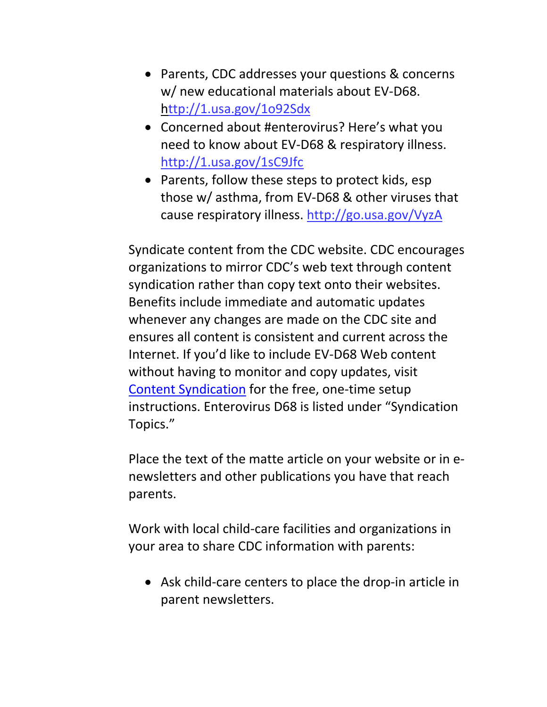- Parents, CDC addresses your questions & concerns w/ new educational materials about EV‐D68. http://1.usa.gov/1o92Sdx
- Concerned about #enterovirus? Here's what you need to know about EV‐D68 & respiratory illness. http://1.usa.gov/1sC9Jfc
- Parents, follow these steps to protect kids, esp those w/ asthma, from EV‐D68 & other viruses that cause respiratory illness. http://go.usa.gov/VyzA

Syndicate content from the CDC website. CDC encourages organizations to mirror CDC's web text through content syndication rather than copy text onto their websites. Benefits include immediate and automatic updates whenever any changes are made on the CDC site and ensures all content is consistent and current across the Internet. If you'd like to include EV‐D68 Web content without having to monitor and copy updates, visit Content Syndication for the free, one‐time setup instructions. Enterovirus D68 is listed under "Syndication Topics."

Place the text of the matte article on your website or in e‐ newsletters and other publications you have that reach parents.

Work with local child‐care facilities and organizations in your area to share CDC information with parents:

■ Ask child-care centers to place the drop-in article in parent newsletters.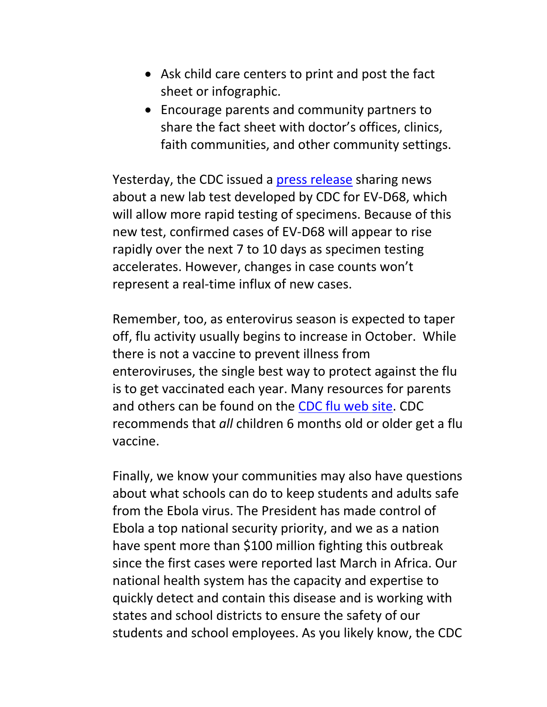- Ask child care centers to print and post the fact sheet or infographic.
- Encourage parents and community partners to share the fact sheet with doctor's offices, clinics, faith communities, and other community settings.

Yesterday, the CDC issued a press release sharing news about a new lab test developed by CDC for EV‐D68, which will allow more rapid testing of specimens. Because of this new test, confirmed cases of EV‐D68 will appear to rise rapidly over the next 7 to 10 days as specimen testing accelerates. However, changes in case counts won't represent a real‐time influx of new cases.

Remember, too, as enterovirus season is expected to taper off, flu activity usually begins to increase in October. While there is not a vaccine to prevent illness from enteroviruses, the single best way to protect against the flu is to get vaccinated each year. Many resources for parents and others can be found on the CDC flu web site. CDC recommends that *all* children 6 months old or older get a flu vaccine.

Finally, we know your communities may also have questions about what schools can do to keep students and adults safe from the Ebola virus. The President has made control of Ebola a top national security priority, and we as a nation have spent more than \$100 million fighting this outbreak since the first cases were reported last March in Africa. Our national health system has the capacity and expertise to quickly detect and contain this disease and is working with states and school districts to ensure the safety of our students and school employees. As you likely know, the CDC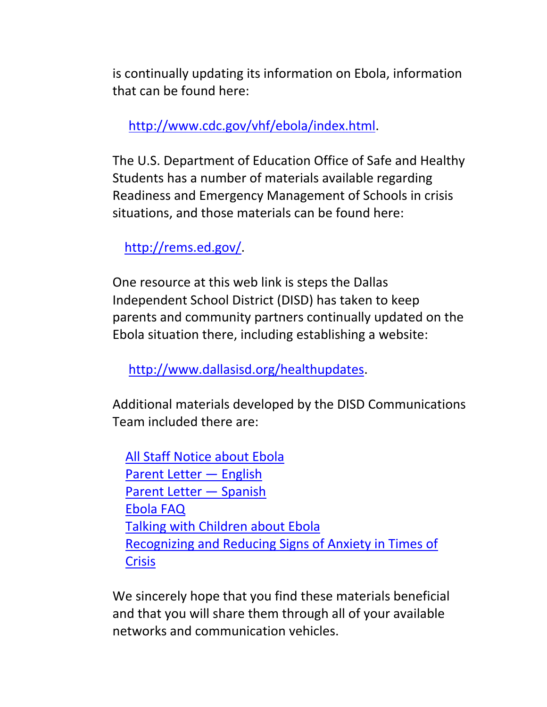is continually updating its information on Ebola, information that can be found here:

http://www.cdc.gov/vhf/ebola/index.html.

The U.S. Department of Education Office of Safe and Healthy Students has a number of materials available regarding Readiness and Emergency Management of Schools in crisis situations, and those materials can be found here:

http://rems.ed.gov/.

One resource at this web link is steps the Dallas Independent School District (DISD) has taken to keep parents and community partners continually updated on the Ebola situation there, including establishing a website:

http://www.dallasisd.org/healthupdates.

Additional materials developed by the DISD Communications Team included there are:

All Staff Notice about Ebola Parent Letter — English Parent Letter — Spanish Ebola FAQ Talking with Children about Ebola Recognizing and Reducing Signs of Anxiety in Times of **Crisis** 

We sincerely hope that you find these materials beneficial and that you will share them through all of your available networks and communication vehicles.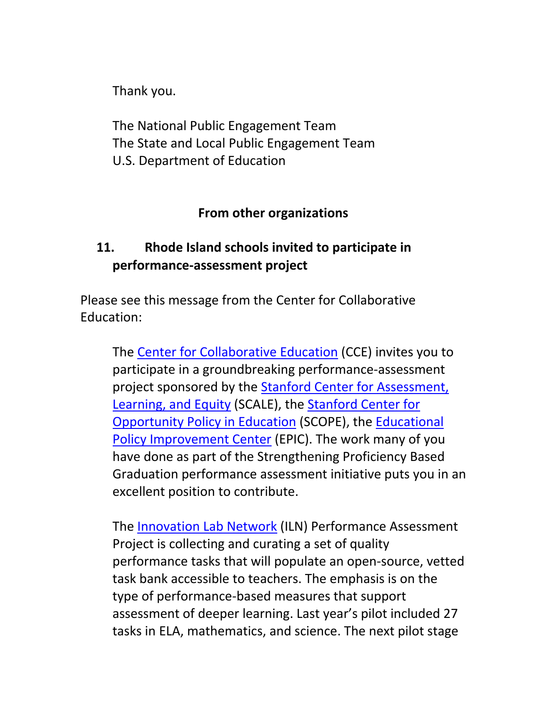Thank you.

The National Public Engagement Team The State and Local Public Engagement Team U.S. Department of Education

### **From other organizations**

## **11. Rhode Island schools invited to participate in performance‐assessment project**

Please see this message from the Center for Collaborative Education:

The Center for Collaborative Education (CCE) invites you to participate in a groundbreaking performance‐assessment project sponsored by the Stanford Center for Assessment, Learning, and Equity (SCALE), the Stanford Center for Opportunity Policy in Education (SCOPE), the Educational Policy Improvement Center (EPIC). The work many of you have done as part of the Strengthening Proficiency Based Graduation performance assessment initiative puts you in an excellent position to contribute.

The Innovation Lab Network (ILN) Performance Assessment Project is collecting and curating a set of quality performance tasks that will populate an open‐source, vetted task bank accessible to teachers. The emphasis is on the type of performance‐based measures that support assessment of deeper learning. Last year's pilot included 27 tasks in ELA, mathematics, and science. The next pilot stage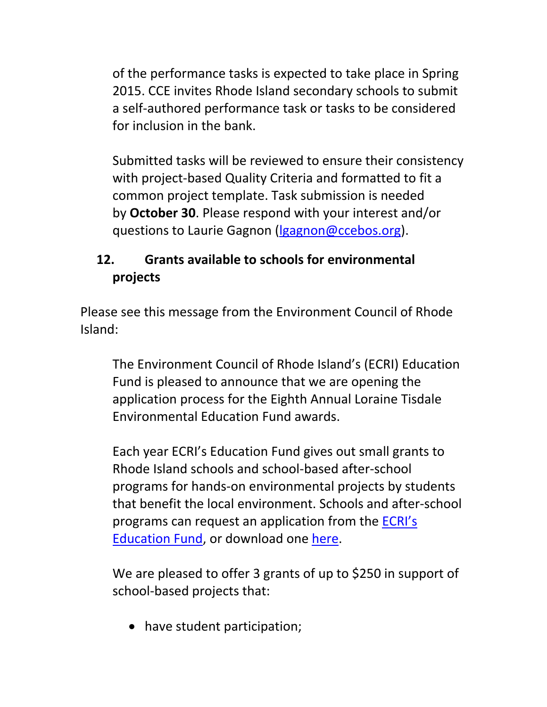of the performance tasks is expected to take place in Spring 2015. CCE invites Rhode Island secondary schools to submit a self‐authored performance task or tasks to be considered for inclusion in the bank.

Submitted tasks will be reviewed to ensure their consistency with project-based Quality Criteria and formatted to fit a common project template. Task submission is needed by **October 30**. Please respond with your interest and/or questions to Laurie Gagnon (lgagnon@ccebos.org).

## **12. Grants available to schools for environmental projects**

Please see this message from the Environment Council of Rhode Island:

The Environment Council of Rhode Island's (ECRI) Education Fund is pleased to announce that we are opening the application process for the Eighth Annual Loraine Tisdale Environmental Education Fund awards.

Each year ECRI's Education Fund gives out small grants to Rhode Island schools and school‐based after‐school programs for hands‐on environmental projects by students that benefit the local environment. Schools and after‐school programs can request an application from the ECRI's Education Fund, or download one here.

We are pleased to offer 3 grants of up to \$250 in support of school‐based projects that:

• have student participation;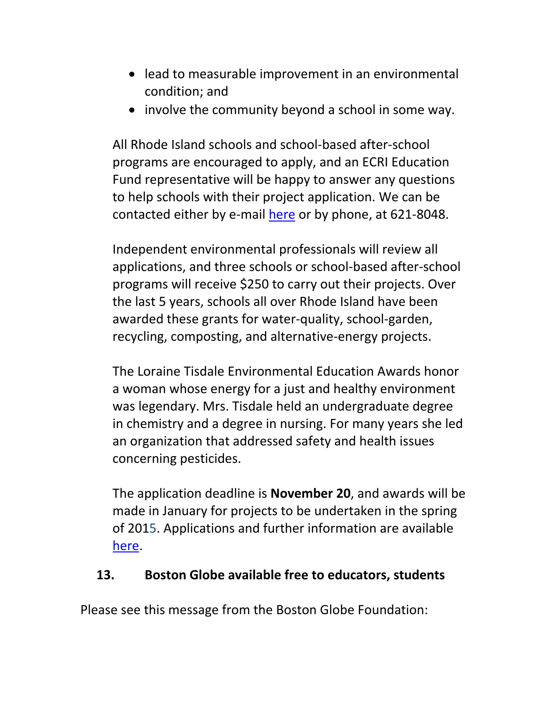- lead to measurable improvement in an environmental condition; and
- involve the community beyond a school in some way.

All Rhode Island schools and school‐based after‐school programs are encouraged to apply, and an ECRI Education Fund representative will be happy to answer any questions to help schools with their project application. We can be contacted either by e‐mail here or by phone, at 621‐8048.

Independent environmental professionals will review all applications, and three schools or school‐based after‐school programs will receive \$250 to carry out their projects. Over the last 5 years, schools all over Rhode Island have been awarded these grants for water‐quality, school‐garden, recycling, composting, and alternative‐energy projects.

The Loraine Tisdale Environmental Education Awards honor a woman whose energy for a just and healthy environment was legendary. Mrs. Tisdale held an undergraduate degree in chemistry and a degree in nursing. For many years she led an organization that addressed safety and health issues concerning pesticides.

The application deadline is **November 20**, and awards will be made in January for projects to be undertaken in the spring of 2015. Applications and further information are available here.

#### **13. Boston Globe available free to educators, students**

Please see this message from the Boston Globe Foundation: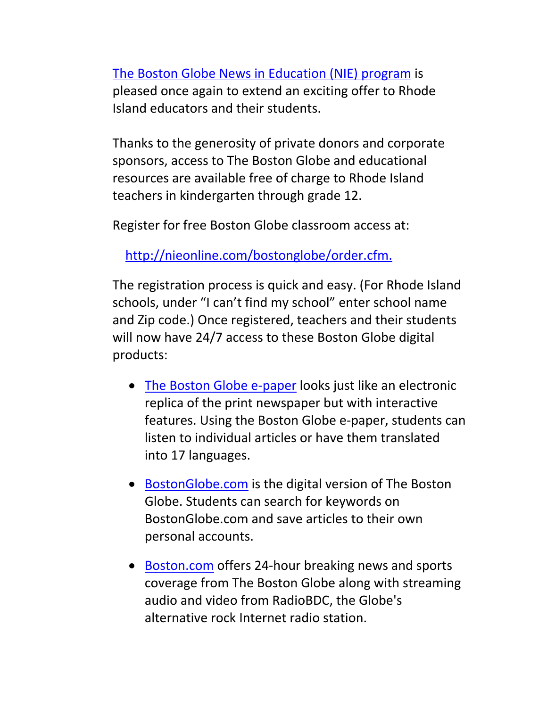The Boston Globe News in Education (NIE) program is pleased once again to extend an exciting offer to Rhode Island educators and their students.

Thanks to the generosity of private donors and corporate sponsors, access to The Boston Globe and educational resources are available free of charge to Rhode Island teachers in kindergarten through grade 12.

Register for free Boston Globe classroom access at:

http://nieonline.com/bostonglobe/order.cfm.

The registration process is quick and easy. (For Rhode Island schools, under "I can't find my school" enter school name and Zip code.) Once registered, teachers and their students will now have 24/7 access to these Boston Globe digital products:

- The Boston Globe e-paper looks just like an electronic replica of the print newspaper but with interactive features. Using the Boston Globe e‐paper, students can listen to individual articles or have them translated into 17 languages.
- BostonGlobe.com is the digital version of The Boston Globe. Students can search for keywords on BostonGlobe.com and save articles to their own personal accounts.
- Boston.com offers 24-hour breaking news and sports coverage from The Boston Globe along with streaming audio and video from RadioBDC, the Globe's alternative rock Internet radio station.